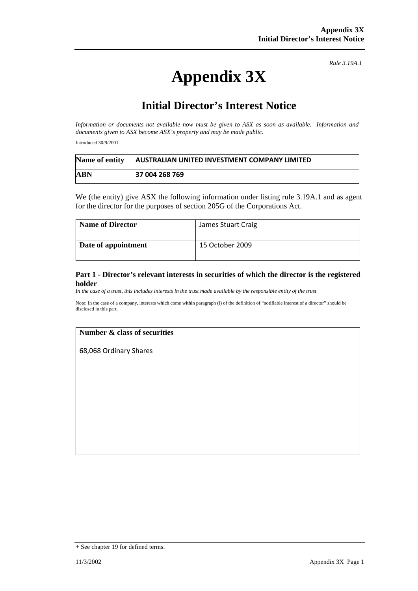# **Appendix 3X**

*Rule 3.19A.1*

## **Initial Director's Interest Notice**

*Information or documents not available now must be given to ASX as soon as available. Information and documents given to ASX become ASX's property and may be made public.* 

Introduced 30/9/2001.

| Name of entity | AUSTRALIAN UNITED INVESTMENT COMPANY LIMITED |
|----------------|----------------------------------------------|
| ABN            | 37 004 268 769                               |

We (the entity) give ASX the following information under listing rule 3.19A.1 and as agent for the director for the purposes of section 205G of the Corporations Act.

| <b>Name of Director</b> | James Stuart Craig |
|-------------------------|--------------------|
| Date of appointment     | 15 October 2009    |

#### **Part 1 - Director's relevant interests in securities of which the director is the registered holder**

*In the case of a trust, this includes interests in the trust made available by the responsible entity of the trust*

Note: In the case of a company, interests which come within paragraph (i) of the definition of "notifiable interest of a director" should be disclosed in this part.

#### **Number & class of securities**

68,068 Ordinary Shares

<sup>+</sup> See chapter 19 for defined terms.